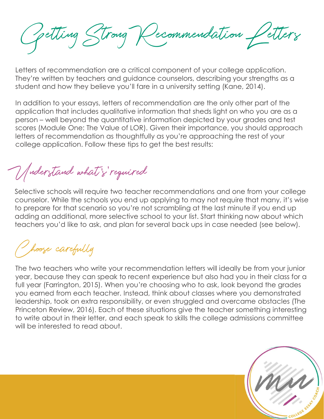Getting Strong Recommendation Letters<br>there of recommendation are a critical component of your college application.<br>ey're written by teachers and guidance counselors, describing your strengths as a<br>dent and how they believ

Letters of recommendation are a critical component of your college application. They're written by teachers and guidance counselors, describing your strengths as a student and how they believe you'll fare in a university setting (Kane, 2014).

In addition to your essays, letters of recommendation are the only other part of the application that includes qualitative information that sheds light on who you are as a *Colling* Chrong Commendation Certical Component of your college application.<br>They're written by teachers and guidance counselors, describing your strengths as a<br>student and how they believe you'll fare in a university set scores (Module One: The Value of LOR). Given their importance, you should approach letters of recommendation as thoughtfully as you're approaching the rest of your college application. Follow these tips to get the best results: The will are the start of the start of the start of the start of the start of the start of the diplication to your stress possible in a university setting (Kane, 2014).<br>In addition to your essays, letters of recommendation

Understand what's' required

The two teachers who will require the two teachers who write included and overcome observations and the deformer of the best results:<br>
The two teachers who write the schools will require two teacher recommendations and one Selective schools will require two teacher recommendations and one from your college counselor. While the schools you end up applying to may not require that many, it's wise to prepare for that scenario so you're not scrambling at the last minute if you end up teachers you'd like to ask, and plan for several back ups in case needed (see below).

hoose carefully

college application. Follow these tips to get the best results:<br>
College application. Follow these tips to get the best results:<br>
Selective schools will require two teacher recommendations and one from your college<br>
counse *Moder Tandy what is "required"*<br>Selective schools will require two teacher recommendations and one from your college<br>counselor, While the schools you end up applying to may not require that many, it's wise<br>to pepare for moders than the school what the section of the section of the complete that many, it's wise<br>selective schools will require two teacher recommendations and one from your college<br>counselor. While the schools you end up apply (*adersfaud* what is required)<br>Selective schools will require two teacher recommendations and one from your college<br>counselor. While the schools you end up applying to may not require that many, it's wise<br>counselor. While Consider the schools with the schools of the schools of the last minimal schools you end up applying to may not require that many, it's wise<br>to counselor. While the schools you end up applying to may not require that many to write about in their letter, and each speak to skills the college admissions committee will be interested to read about.

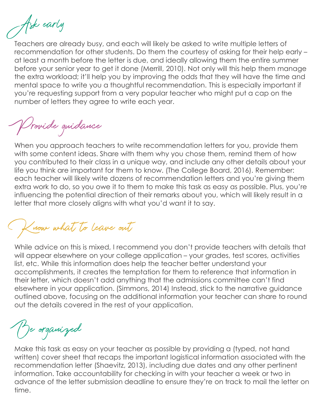Ask early

Teachers are already busy, and each will likely be asked to write multiple letters of recommendation for other students. Do them the courtesy of asking for their help early – at least a month before the letter is due, and ideally allowing them the entire summer before your senior year to get it done (Merrill, 2010). Not only will this help them manage the extra workload; it'll help you by improving the odds that they will have the time and mental space to write you a thoughtful recommendation. This is especially important if you're requesting support from a very popular teacher who might put a cap on the Teachers are already busy, and each will likely be asked to write multi<br>recommendation for other students. Do them the courtesy of asking for<br>at least a month before the letter is due, and ideally allowing them the<br>before

Provide guidance

When you approach teachers to write recommendation letters for you, provide them with some content ideas. Share with them why you chose them, remind them of how you contributed to their class in a unique way, and include any other details about your life you think are important for them to know. (The College Board, 2016). Remember: each teacher will likely write dozens of recommendation letters and you're giving them extra work to do, so you owe it to them to make this task as easy as possible. Plus, you're influencing the potential direction of their remarks about you, which will likely result in a before your senior year to get it done (Merrill, 2010). Not only will this help them manage<br>the extra workload: it"Il help you by improving the dods that they will hose the time and<br>mental space to write you a thoughtful r For the period of the method is the method of the model of the model of the model of the model of the method of the period of the period of the period of the period of the period of the set of the period of the set of the

Know what to leave out

While advice on this is mixed, I recommend you don't provide teachers with details that list, etc. While this information does help the teacher better understand your accomplishments, it creates the temptation for them to reference that information in their letter, which doesn't add anything that the admissions committee can't find elsewhere in your application. (Simmons, 2014) Instead, stick to the narrative guidance outlined above, focusing on the additional information your teacher can share to round out the details covered in the rest of your application.

Be organized

Make this task as easy on your teacher as possible by providing a (typed, not hand written) cover sheet that recaps the important logistical information associated with the recommendation letter (Shaevitz, 2013), including due dates and any other pertinent information. Take accountability for checking in with your teacher a week or two in advance of the letter submission deadline to ensure they're on track to mail the letter on time.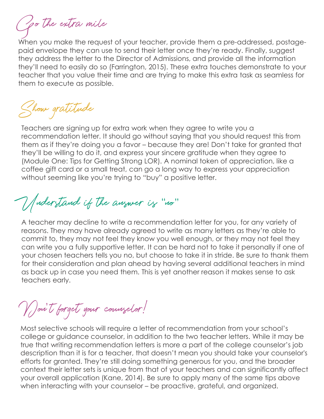Go the extra mile

When you make the request of your teacher, provide them a pre-addressed, postagepaid envelope they can use to send their letter once they're ready. Finally, suggest they address the letter to the Director of Admissions, and provide all the information they'll need to easily do so (Farrington, 2015). These extra touches demonstrate to your teacher that you value their time and are trying to make this extra task as seamless for them to execute as possible.

Show gratitude

Teachers are signing up for extra work when they agree to write you a recommendation letter. It should go without saying that you should request this from To the extra mile<br>
Then you make the request of your teacher, provide them a pre-addressed, postage-<br>
Show a favor of the Director of Admissions, and provide all the information<br>
they'll need to easily do so (Farrington, They entire they read to your teacher, provide them a pre-addressed, postage-<br>or they can use to send their letter once they're ready. Finally, suggest<br>order envelope they can use to send their letter once they're ready. F The example of the equest of your teacher, provide them a pre-addressed, postage-<br>When you make the request of your teacher, provide them or they re ready. Finally, suggest<br>they address the letter to the Director of Admis coffee gift card or a small treat, can go a long way to express your appreciation without seeming like you're trying to "buy" a positive letter. Moreover the prossime to possime the control of the protection of the protection of the team of the prime may if they'll be willing to do it, and express your sincere graditude when they agree to the different may if they

Understand if the answer is "no"

Moderstand if the answer is "into"<br>A teacher may decline to write a recommendation letter for you, for any variety of<br>reasons. They may have already agreed to write as many letters as they're able to<br>commit to, they may n reasons. They may have already agreed to write as many letters as they're able to commit to, they may not feel they know you well enough, or they may not feel they can write you a fully supportive letter. It can be hard not to take it personally if one of Teachers are signing up for extra work when they agree to write you a<br>recommendation letter. It should go without saying that you should request this from<br>them as if they're doing you a favor – because they arel Don't take Feachers are signing up for extra work when they agree to write you a<br>recommendation letter. It should go without saying that you should request this from<br>them as if they'll be willing to do it, and express your sincere gr as back up in case you need them. This is yet another reason it makes sense to ask teachers early.

Don't forget your counselor! '

college or guidance counselor, in addition to the two teacher letters. While it may be true that writing recommendation letters is more a part of the college counselor's job description than it is for a teacher, that doesn't mean you should take your counselor's efforts for granted. They're still doing something generous for you, and the broader context their letter sets is unique from that of your teachers and can significantly affect your overall application (Kane, 2014). Be sure to apply many of the same tips above<br>when interacting with your counselor – be proactive, grateful, and organized. curre you any supplemine terrer. To curre interacting with your chose in the present particle, be sure to thank them<br>for their consideration and plan ahead by having several additional teachers in mind<br>os back up in case y